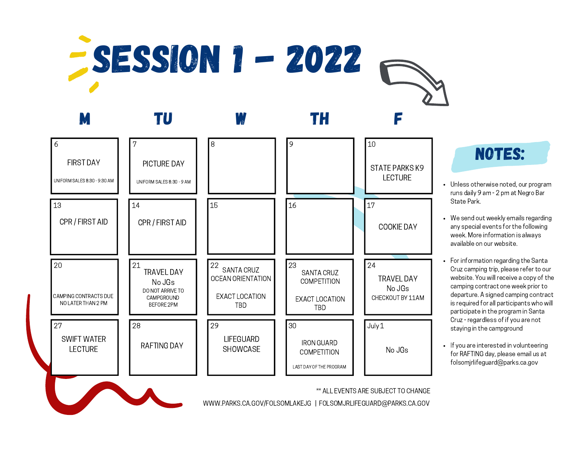



## NOTES:

- Unless otherwise noted, our program runs daily 9 am - 2 pm at Negro Bar State Park.
- We send out weekly emails regarding any special events for the following week. More information is always available on our website.
- For information regarding the Santa Cruz camping trip, please refer to our website. You will receive a copy of the camping contract one week prior to departure. A signed camping contract is required for all participants who will participate in the program in Santa Cruz - regardless of if you are not staying in the campground
- If you are interested in volunteering for RAFTING day, please email us at folsomjrlifeguard@parks.ca.gov

\*\* ALL EVENTS ARE SUBJECT TO CHANGE

WWW.PARKS.CA.GOV/FOLSOMLAKEJG | FOLSOMJRLIFEGUARD@PARKS.CA.GOV